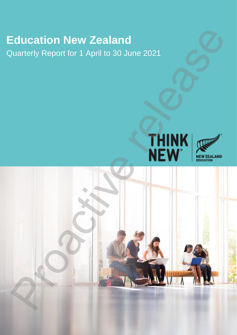# **Education New Zealand**

Quarterly Report for 1 April to 30 June 2021





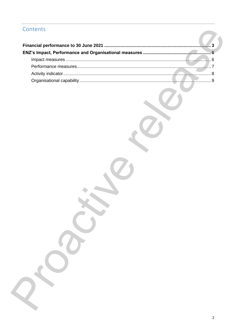## Contents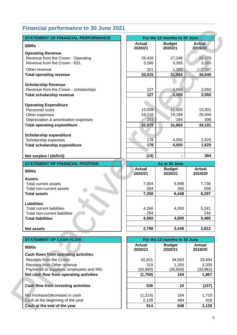## <span id="page-2-0"></span>**Financial performance to 30 June 2021**

| <b>STATEMENT OF FINANCIAL PERFORMANCE</b>                                                                                                   |                  | For the 12 months to 30 June   |                             |
|---------------------------------------------------------------------------------------------------------------------------------------------|------------------|--------------------------------|-----------------------------|
| \$000s                                                                                                                                      | <b>Actual</b>    | <b>Budget</b>                  | <b>Actual</b>               |
|                                                                                                                                             | 2020/21          | 2020/21                        | 2019/20                     |
| <b>Operating Revenue</b>                                                                                                                    |                  |                                |                             |
| Revenue from the Crown - Operating                                                                                                          | 29,428           | 27,248                         | 28,179                      |
| Revenue from the Crown - EEL                                                                                                                | 3,266            | 3,265                          | 3,265                       |
| Other revenue                                                                                                                               | 321              | 1,350                          | 2,597                       |
| <b>Total operating revenue</b>                                                                                                              | 33,015           | 31,863                         | 34,040                      |
|                                                                                                                                             |                  |                                |                             |
| <b>Scholarship Revenue</b>                                                                                                                  |                  |                                |                             |
| Revenue from the Crown - scholarships                                                                                                       | 127              | 4,050                          | 2,050                       |
| <b>Total scholarship revenue</b>                                                                                                            | 127              | 4,050                          | 2,050                       |
|                                                                                                                                             |                  |                                |                             |
| <b>Operating Expenditure</b>                                                                                                                |                  |                                |                             |
| Personnel costs                                                                                                                             | 13,509           | 12,500                         | 13,301                      |
| Other expenses                                                                                                                              | 19,216           | 19,199                         | 20,494                      |
| Depreciation & amortisation expenses                                                                                                        | 253              | 164                            | 306                         |
| <b>Total operating expenditure</b>                                                                                                          | 32,978           | 31,863                         | 34,101                      |
| <b>Scholarship expenditure</b>                                                                                                              |                  |                                |                             |
| Scholarship expenses                                                                                                                        | 178              | 4,050                          | 1,625                       |
| <b>Total scholarship expenditure</b>                                                                                                        | 178              | 4,050                          | 1,625                       |
|                                                                                                                                             |                  |                                |                             |
| Net surplus / (deficit)                                                                                                                     | (14)             |                                | 364                         |
|                                                                                                                                             |                  |                                |                             |
| <b>STATEMENT OF FINANCIAL POSITION</b>                                                                                                      | <b>Actual</b>    | As at 30 June<br><b>Budget</b> | <b>Actual</b>               |
| \$000s                                                                                                                                      | 2020/21          | 2020/21                        | 2019/20                     |
| <b>Assets</b>                                                                                                                               |                  |                                |                             |
| Total current assets                                                                                                                        | 7,004            | 5,998                          | 7,738                       |
| Total non-current assets                                                                                                                    | 354              | 450                            | 559                         |
| <b>Total assets</b>                                                                                                                         | 7,358            | 6,448                          | 8,297                       |
|                                                                                                                                             |                  |                                |                             |
| <b>Liabilities</b>                                                                                                                          |                  |                                |                             |
| <b>Total current liabilities</b>                                                                                                            | 4,266            | 4,000                          | 5,241                       |
| Total non-current liabilities                                                                                                               | 294              |                                | 244                         |
| <b>Total liabilities</b>                                                                                                                    | 4,560            | 4,000                          | 5,485                       |
|                                                                                                                                             |                  |                                |                             |
|                                                                                                                                             |                  |                                |                             |
|                                                                                                                                             | 2,798            | 2,448                          | 2,812                       |
|                                                                                                                                             |                  | For the 12 months to 30 June   |                             |
|                                                                                                                                             | <b>Actual</b>    | <b>Budget</b>                  | <b>Actual</b>               |
|                                                                                                                                             | 2020/21          | 2020/21                        | 2019/20                     |
|                                                                                                                                             |                  |                                |                             |
| Receipts from the Crown                                                                                                                     | 32,821           | 34,563                         | 33,494                      |
| Receipts from Other revenue                                                                                                                 | 319              | 1,250                          | 2,335                       |
| Payments to suppliers, employees and IRD                                                                                                    | (34, 890)        | (35, 659)                      |                             |
| Net cash flow from operating activities                                                                                                     | (1,750)          | 154                            |                             |
|                                                                                                                                             |                  |                                |                             |
|                                                                                                                                             | 536              | 10                             | (33, 962)<br>1,867<br>(157) |
| <b>Net assets</b><br><b>STATEMENT OF CASH FLOW</b><br>\$000s<br>Cash flows from operating activities<br>Cash flow from investing activities |                  |                                |                             |
| Net increase/(decrease) in cash<br>Cash at the beginning of the year                                                                        | (1,214)<br>2,128 | 164<br>484                     | 1,710<br>418                |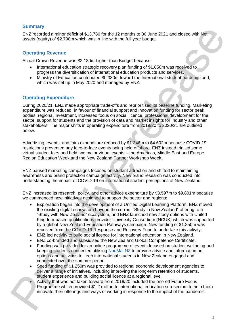#### **Summary**

ENZ recorded a minor deficit of \$13,786 for the 12 months to 30 June 2021 and closed with Net assets (equity) of \$2.798m which was in line with the full year budget.

#### **Operating Revenue**

Actual Crown Revenue was \$2.180m higher than Budget because:

- International education strategic recovery plan funding of \$1.850m was received to progress the diversification of international education products and services.
- Ministry of Education contributed \$0.330m toward the International student hardship fund, which was set up in May 2020 and managed by ENZ.

#### **Operating Expenditure**

During 2020/21, ENZ made appropriate trade-offs and reprioritised its baseline funding. Marketing expenditure was reduced, in favour of financial support and innovation funding for sector peak bodies, regional investment, increased focus on social licence, professional development for the sector, support for students and the provision of data and market insights for Industry and other stakeholders. The major shifts in operating expenditure from 2019/20 to 2020/21 are outlined below. Suitable and the detailed of \$12.786 to the 12 months to 30 June 2021 and costed with Net<br>
Processor (equips) of \$2.786 to the 12 months to 30 June 2021 and costed with Net<br>
Operating Revenue<br>
Actual Croon Revenue<br>
Actual

Advertising, events, and fairs expenditure reduced by \$1.346m to \$4.602m because COVID-19 restrictions prevented any face-to-face events being held offshore. ENZ instead trialled some virtual student fairs and held two major virtual events – the Americas, Middle East and Europe Region Education Week and the New Zealand Partner Workshop Week.

ENZ paused marketing campaigns focused on student attraction and shifted to maintaining awareness and brand protection campaign activity. New brand research was conducted into understanding the impact of COVID-19 on international student perceptions of New Zealand.

ENZ increased its research, policy, and other advice expenditure by \$3.597m to \$9.801m because we commenced new initiatives designed to support the sector and regions:

- Exploration began into the development of a Unified Digital Learning Platform, ENZ moved the existing digital ecosystem beyond the current "Study in New Zealand" offering to a "Study with New Zealand" ecosystem, and ENZ launched new study options with United Kingdom-based qualifications provider University Consortium (NCUK) which was supported by a global New Zealand Education Pathways campaign. New funding of \$1.850m was received from the COVID-19 Response and Recovery Fund to undertake this activity.
- ENZ led activity to build social licence for international education in New Zealand.
- ENZ co-branded and subsidised the New Zealand Global Competence Certificate.
- Funding was provided for an online programme of events focused on student wellbeing and keeping students connected utilising NauMai NZ to provide advice and information on options and activities to keep international students in New Zealand engaged and connected over the summer period.
- Seed funding of \$1.250m was provided to regional economic development agencies to deliver a range of initiatives, including improving the long-term retention of students, student experience and building social licence at a regional level.
- Activity that was not taken forward from 2019/20 included the one-off Future Focus Programme which provided \$1.2 million to international education sub-sectors to help them innovate their offerings and ways of working in response to the impact of the pandemic.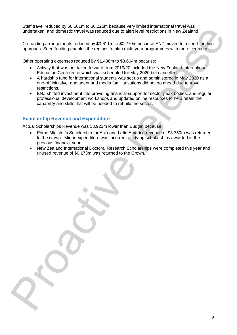Staff travel reduced by \$0.661m to \$0.225m because very limited international travel was undertaken, and domestic travel was reduced due to alert level restrictions in New Zealand.

Co-funding arrangements reduced by \$0.611m to \$0.270m because ENZ moved to a seed-funding approach. Seed funding enables the regions to plan multi-year programmes with more certainty.

Other operating expenses reduced by \$1.438m to \$3.664m because:

- Activity that was not taken forward from 2019/20 included the New Zealand International Education Conference which was scheduled for May 2020 but cancelled.
- A hardship fund for international students was set up and administered in May 2020 as a one-off initiative, and agent and media familiarisations did not go ahead due to travel restrictions.
- ENZ shifted investment into providing financial support for sector peak bodies, and regular professional development workshops and updated online resources to help retain the capability and skills that will be needed to rebuild the sector.

#### **Scholarship Revenue and Expenditure**

Actual Scholarships Revenue was \$3.923m lower than Budget because:

- Prime Minister's Scholarship for Asia and Latin America revenue of \$3.750m was returned to the crown. Minor expenditure was incurred to tidy up scholarships awarded in the previous financial year. consideration and consideration and any of the state of the state of the state of the state of the state of the specific columns of the specific constraints. The specific constraints are proposed to a social dependent of t
	- New Zealand International Doctoral Research Scholarships were completed this year and unused revenue of \$0.173m was returned to the Crown.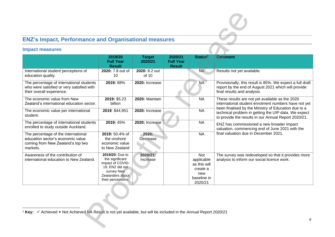## **ENZ's Impact, Performance and Organisational measures**

#### <span id="page-5-1"></span><span id="page-5-0"></span>**Impact measures**

| <b>Impact measures</b>                                                                                                    |                                                                                                                                   |                          |                                              |                                                                                |                                                                                                                                                                                                                                                                                                                                                                                 |  |
|---------------------------------------------------------------------------------------------------------------------------|-----------------------------------------------------------------------------------------------------------------------------------|--------------------------|----------------------------------------------|--------------------------------------------------------------------------------|---------------------------------------------------------------------------------------------------------------------------------------------------------------------------------------------------------------------------------------------------------------------------------------------------------------------------------------------------------------------------------|--|
|                                                                                                                           | 2019/20<br><b>Full Year</b><br><b>Result</b>                                                                                      | <b>Target</b><br>2020/21 | 2020/21<br><b>Full Year</b><br><b>Result</b> | Status <sup>1</sup>                                                            | <b>Comment</b>                                                                                                                                                                                                                                                                                                                                                                  |  |
| International student perceptions of<br>education quality.                                                                | 2020: 7.8 out of<br>10                                                                                                            | 2020: 8.2 out<br>of 10   |                                              | <b>NA</b>                                                                      | Results not yet available.                                                                                                                                                                                                                                                                                                                                                      |  |
| The percentage of international students<br>who were satisfied or very satisfied with<br>their overall experience.        | 2019: 88%                                                                                                                         | 2020: Increase           |                                              | <b>NA</b>                                                                      | Provisionally, this result is 85%. We expect a full draft<br>report by the end of August 2021 which will provide<br>final results and analysis.                                                                                                                                                                                                                                 |  |
| The economic value from New<br>Zealand's international education sector.                                                  | 2019: \$5.23<br>billion                                                                                                           | 2020: Maintain           |                                              | <b>NA</b>                                                                      | These results are not yet available as the 2020<br>international student enrolment numbers have not yet<br>been finalised by the Ministry of Education due to a<br>technical problem in getting the UIP data. We expect<br>to provide the results in our Annual Report 2020/21.<br>ENZ has commissioned a new broader impact<br>valuation, commencing end of June 2021 with the |  |
| The economic value per international<br>student.                                                                          | 2019: \$44,951                                                                                                                    | 2020: Increase           |                                              | <b>NA</b>                                                                      |                                                                                                                                                                                                                                                                                                                                                                                 |  |
| The percentage of international students<br>enrolled to study outside Auckland.                                           | 2019: 45%                                                                                                                         | 2020: Increase           |                                              | <b>NA</b>                                                                      |                                                                                                                                                                                                                                                                                                                                                                                 |  |
| The percentage of the international<br>education sector's economic value<br>coming from New Zealand's top two<br>markets. | 2019: 50.4% of<br>the onshore<br>economic value<br>to New Zealand                                                                 | 2020:<br>Decrease        |                                              | <b>NA</b>                                                                      | final valuation due in December 2021.                                                                                                                                                                                                                                                                                                                                           |  |
| Awareness of the contribution of<br>international education to New Zealand.                                               | 2019/20: Due to<br>the significant<br>impact of COVID-<br>19, ENZ did not<br>survey New<br>Zealanders about<br>their perceptions. | 2020/21:<br>Increase     |                                              | Not<br>applicable<br>as this will<br>create a<br>new<br>baseline in<br>2020/21 | The survey was redeveloped so that it provides more<br>analysis to inform our social licence work.                                                                                                                                                                                                                                                                              |  |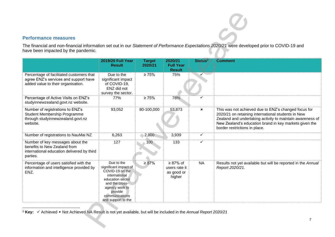#### <span id="page-6-0"></span>**Performance measures**

| <b>Performance measures</b>                                                                                                                |                                                                                                                                                                                    |                          |                                                         |                           |                                                                                                                                                                                                                                                                    |
|--------------------------------------------------------------------------------------------------------------------------------------------|------------------------------------------------------------------------------------------------------------------------------------------------------------------------------------|--------------------------|---------------------------------------------------------|---------------------------|--------------------------------------------------------------------------------------------------------------------------------------------------------------------------------------------------------------------------------------------------------------------|
|                                                                                                                                            |                                                                                                                                                                                    |                          |                                                         |                           | The financial and non-financial information set out in our Statement of Performance Expectations 2020/21 were developed prior to COVID-19 and                                                                                                                      |
| have been impacted by the pandemic.                                                                                                        |                                                                                                                                                                                    |                          |                                                         |                           |                                                                                                                                                                                                                                                                    |
|                                                                                                                                            | <b>2019/20 Full Year</b><br><b>Result</b>                                                                                                                                          | <b>Target</b><br>2020/21 | 2020/21<br><b>Full Year</b><br><b>Result</b>            | Status <sup>2</sup>       | <b>Comment</b>                                                                                                                                                                                                                                                     |
| Percentage of facilitated customers that<br>agree ENZ's services and support have<br>added value to their organisation.                    | Due to the<br>significant impact<br>of COVID-19,<br>ENZ did not<br>survey the sector.                                                                                              | $\geq 75\%$              | 75%                                                     |                           |                                                                                                                                                                                                                                                                    |
| Percentage of Active Visits on ENZ's<br>studyinnewzealand.govt.nz website.                                                                 | 77%                                                                                                                                                                                | $\geq 75\%$              | 78%                                                     |                           |                                                                                                                                                                                                                                                                    |
| Number of registrations to ENZ's<br>Student Membership Programme<br>through studyinnewzealand.govt.nz<br>website.                          | 93,052                                                                                                                                                                             | 80-100,000               | 53,873                                                  | $\boldsymbol{\mathsf{x}}$ | This was not achieved due to ENZ's changed focus for<br>2020/21 on retaining international students in New<br>Zealand and undertaking activity to maintain awareness of<br>New Zealand's education brand in key markets given the<br>border restrictions in place. |
| Number of registrations to NauMai NZ                                                                                                       | 6,263                                                                                                                                                                              | 2,800                    | 3,939                                                   | $\checkmark$              |                                                                                                                                                                                                                                                                    |
| Number of key messages about the<br>benefits to New Zealand from<br>international education delivered by third<br>parties.                 | 127                                                                                                                                                                                | 100 <sub>°</sub>         | 133                                                     | ✓                         |                                                                                                                                                                                                                                                                    |
| Percentage of users satisfied with the<br>information and intelligence provided by<br>ENZ.                                                 | Due to the<br>significant impact of<br>COVID-19 on the<br>international<br>education sector<br>and the cross-<br>agency work to<br>provide<br>communications<br>and support to the | $\geq 87\%$              | $\geq 87\%$ of<br>users rate it<br>as good or<br>higher | <b>NA</b>                 | Results not yet available but will be reported in the Annual<br>Report 2020/21.                                                                                                                                                                                    |
| <sup>2</sup> Key: $\checkmark$ Achieved $*$ Not Achieved NA Result is not yet available, but will be included in the Annual Report 2020/21 |                                                                                                                                                                                    |                          |                                                         |                           | 7                                                                                                                                                                                                                                                                  |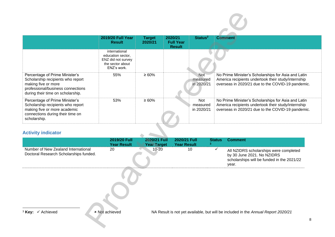|                                                                                                                                                                      | <b>2019/20 Full Year</b><br><b>Result</b>                                                   | <b>Target</b><br>2020/21           | 2020/21<br><b>Full Year</b><br><b>Result</b> | Status <sup>2</sup>                  | <b>Comment</b>                                                                                                                                                  |
|----------------------------------------------------------------------------------------------------------------------------------------------------------------------|---------------------------------------------------------------------------------------------|------------------------------------|----------------------------------------------|--------------------------------------|-----------------------------------------------------------------------------------------------------------------------------------------------------------------|
|                                                                                                                                                                      | international<br>education sector,<br>ENZ did not survey<br>the sector about<br>ENZ's work. |                                    |                                              |                                      |                                                                                                                                                                 |
| Percentage of Prime Minister's<br>Scholarship recipients who report<br>making five or more<br>professional/business connections<br>during their time on scholarship. | 55%                                                                                         | $\geq 60\%$                        |                                              | <b>Not</b><br>measured<br>in 2020/21 | No Prime Minister's Scholarships for Asia and Latin<br>America recipients undertook their study/internship<br>overseas in 2020/21 due to the COVID-19 pandemic. |
| Percentage of Prime Minister's<br>Scholarship recipients who report<br>making five or more academic<br>connections during their time on<br>scholarship.              | 53%                                                                                         | $\geq 60\%$                        |                                              | Not<br>measured<br>in 2020/21        | No Prime Minister's Scholarships for Asia and Latin<br>America recipients undertook their study/internship<br>overseas in 2020/21 due to the COVID-19 pandemic. |
| <b>Activity indicator</b>                                                                                                                                            |                                                                                             |                                    |                                              |                                      |                                                                                                                                                                 |
|                                                                                                                                                                      | 2019/20 Full<br><b>Year Result</b>                                                          | 2020/21 Full<br><b>Year Target</b> | 2020/21 Full<br><b>Year Result</b>           | 3 <sup>7</sup>                       | <b>Status</b><br><b>Comment</b>                                                                                                                                 |
| Number of New Zealand International<br>Doctoral Research Scholarships funded.                                                                                        | 20                                                                                          | $10 - 20$                          | 10                                           |                                      | $\checkmark$<br>All NZIDRS scholarships were completed<br>by 30 June 2021. No NZIDRS<br>scholarships will be funded in the 2021/22<br>year.                     |
|                                                                                                                                                                      |                                                                                             |                                    |                                              |                                      |                                                                                                                                                                 |
| <sup>3</sup> Key: v Achieved                                                                                                                                         | <b>× Not achieved</b>                                                                       |                                    |                                              |                                      | NA Result is not yet available, but will be included in the Annual Report 2020/21<br>8                                                                          |

### **Activity indicator**

<span id="page-7-2"></span><span id="page-7-1"></span><span id="page-7-0"></span>

|                                                                               | <b>2019/20 Full</b><br><b>Year Result</b> | 2020/21 Full<br><b>Year Target</b> | 2020/21 Full<br>Year Result | <b>Status</b> | <b>Comment</b>                                                                                                              |
|-------------------------------------------------------------------------------|-------------------------------------------|------------------------------------|-----------------------------|---------------|-----------------------------------------------------------------------------------------------------------------------------|
| Number of New Zealand International<br>Doctoral Research Scholarships funded. | 20                                        | 10-20                              | 10                          |               | All NZIDRS scholarships were completed<br>by 30 June 2021. No NZIDRS<br>scholarships will be funded in the 2021/22<br>vear. |